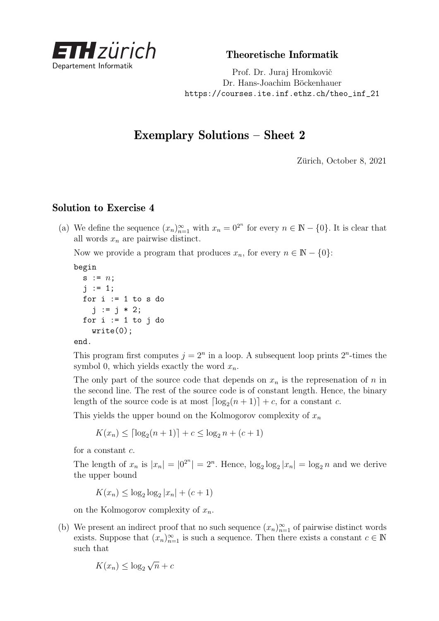

Theoretische Informatik

Prof. Dr. Juraj Hromkovič Dr. Hans-Joachim Böckenhauer [https://courses.ite.inf.ethz.ch/theo\\_inf\\_21](https://courses.ite.inf.ethz.ch/theo_inf_21)

## Exemplary Solutions – Sheet 2

Zürich, October 8, 2021

## Solution to Exercise 4

(a) We define the sequence  $(x_n)_{n=1}^{\infty}$  with  $x_n = 0^{2^n}$  for every  $n \in \mathbb{N} - \{0\}$ . It is clear that all words *x<sup>n</sup>* are pairwise distinct.

Now we provide a program that produces  $x_n$ , for every  $n \in \mathbb{N} - \{0\}$ :

begin

```
s := n;
j := 1;for i := 1 to s do
  j := j * 2;for i := 1 to i do
  write(0);
```
end.

This program first computes  $j = 2^n$  in a loop. A subsequent loop prints  $2^n$ -times the symbol 0, which yields exactly the word  $x_n$ .

The only part of the source code that depends on  $x_n$  is the represenation of  $n$  in the second line. The rest of the source code is of constant length. Hence, the binary length of the source code is at most  $\lceil \log_2(n+1) \rceil + c$ , for a constant *c*.

This yields the upper bound on the Kolmogorov complexity of  $x_n$ 

 $K(x_n) \leq \lceil \log_2(n+1) \rceil + c \leq \log_2 n + (c+1)$ 

for a constant *c*.

The length of  $x_n$  is  $|x_n| = |0^{2^n}| = 2^n$ . Hence,  $\log_2 \log_2 |x_n| = \log_2 n$  and we derive the upper bound

 $K(x_n) \leq \log_2 \log_2 |x_n| + (c+1)$ 

on the Kolmogorov complexity of *xn*.

(b) We present an indirect proof that no such sequence  $(x_n)_{n=1}^{\infty}$  of pairwise distinct words exists. Suppose that  $(x_n)_{n=1}^{\infty}$  is such a sequence. Then there exists a constant  $c \in \mathbb{N}$ such that

$$
K(x_n) \le \log_2 \sqrt{n} + c
$$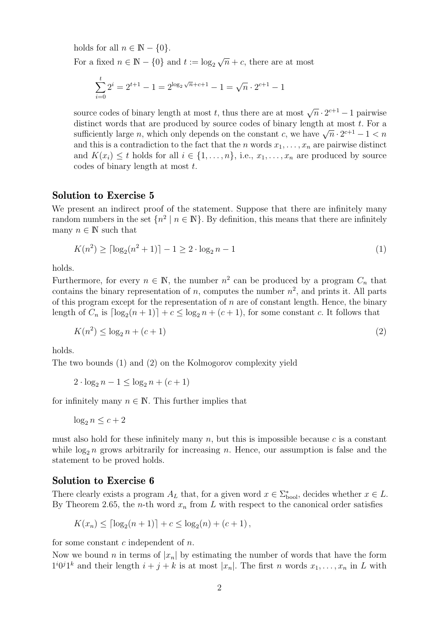holds for all  $n \in \mathbb{N} - \{0\}.$ For a fixed  $n \in \mathbb{N} - \{0\}$  and  $t := \log_2 \sqrt{1 - \log_2 \sqrt{1 - \log_2 \sqrt{1 - \log_2 \sqrt{1 - \log_2 \sqrt{1 - \log_2 \sqrt{1 - \log_2 \sqrt{1 - \log_2 \sqrt{1 - \log_2 \sqrt{1 - \log_2 \sqrt{1 - \log_2 \sqrt{1 - \log_2 \sqrt{1 - \log_2 \sqrt{1 - \log_2 \sqrt{1 - \log_2 \sqrt{1 - \log_2 \sqrt{1 - \log_2 \sqrt{1 - \log_2 \sqrt{1 - \log_2 \sqrt{1 - \log_2 \sqrt{1 - \log_2$  $\overline{n}$  + *c*, there are at most

$$
\sum_{i=0}^{t} 2^{i} = 2^{t+1} - 1 = 2^{\log_2 \sqrt{n} + c + 1} - 1 = \sqrt{n} \cdot 2^{c+1} - 1
$$

source codes of binary length at most *t*, thus there are at most  $\sqrt{n} \cdot 2^{c+1} - 1$  pairwise distinct words that are produced by source codes of binary length at most *t*. For a  $\alpha$  sufficiently large *n*, which only depends on the constant *c*, we have  $\sqrt{n} \cdot 2^{c+1} - 1 < n$ and this is a contradiction to the fact that the *n* words  $x_1, \ldots, x_n$  are pairwise distinct and  $K(x_i) \leq t$  holds for all  $i \in \{1, \ldots, n\}$ , i.e.,  $x_1, \ldots, x_n$  are produced by source codes of binary length at most *t*.

## Solution to Exercise 5

We present an indirect proof of the statement. Suppose that there are infinitely many random numbers in the set  $\{n^2 \mid n \in \mathbb{N}\}$ . By definition, this means that there are infinitely many  $n \in \mathbb{N}$  such that

<span id="page-1-0"></span>
$$
K(n^{2}) \ge \lceil \log_2(n^{2} + 1) \rceil - 1 \ge 2 \cdot \log_2 n - 1 \tag{1}
$$

holds.

Furthermore, for every  $n \in \mathbb{N}$ , the number  $n^2$  can be produced by a program  $C_n$  that contains the binary representation of *n*, computes the number  $n^2$ , and prints it. All parts of this program except for the representation of *n* are of constant length. Hence, the binary length of  $C_n$  is  $\lceil \log_2(n+1) \rceil + c \leq \log_2 n + (c+1)$ , for some constant *c*. It follows that

<span id="page-1-1"></span>
$$
K(n^2) \le \log_2 n + (c+1)
$$
\n(2)

holds.

The two bounds [\(1\)](#page-1-0) and [\(2\)](#page-1-1) on the Kolmogorov complexity yield

 $2 \cdot \log_2 n - 1 \le \log_2 n + (c+1)$ 

for infinitely many  $n \in \mathbb{N}$ . This further implies that

 $\log_2 n \leq c+2$ 

must also hold for these infinitely many  $n$ , but this is impossible because  $c$  is a constant while  $\log_2 n$  grows arbitrarily for increasing *n*. Hence, our assumption is false and the statement to be proved holds.

## Solution to Exercise 6

There clearly exists a program  $A_L$  that, for a given word  $x \in \sum_{\text{bool}}^*$ , decides whether  $x \in L$ . By Theorem 2.65, the *n*-th word  $x_n$  from  $L$  with respect to the canonical order satisfies

$$
K(x_n) \leq \lceil \log_2(n+1) \rceil + c \leq \log_2(n) + (c+1),
$$

for some constant *c* independent of *n*.

Now we bound *n* in terms of  $|x_n|$  by estimating the number of words that have the form  $1^{i}0^{j}1^{k}$  and their length  $i + j + k$  is at most  $|x_{n}|$ . The first *n* words  $x_{1}, \ldots, x_{n}$  in *L* with